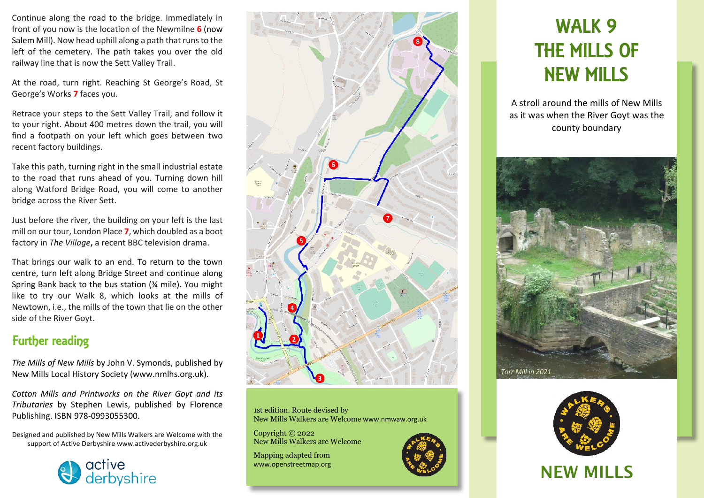Continue along the road to the bridge. Immediately in front of you now is the location of the Newmilne **6** (now Salem Mill). Now head uphill along a path that runs to the left of the cemetery. The path takes you over the old railway line that is now the Sett Valley Trail.

At the road, turn right. Reaching St George's Road, St George's Works **7** faces you.

Retrace your steps to the Sett Valley Trail, and follow it to your right. About 400 metres down the trail, you will find a footpath on your left which goes between two recent factory buildings.

Take this path, turning right in the small industrial estate to the road that runs ahead of you. Turning down hill along Watford Bridge Road, you will come to another bridge across the River Sett.

Just before the river, the building on your left is the last mill on our tour, London Place **7**, which doubled as a boot factory in *The Village***,** a recent BBC television drama.

That brings our walk to an end. To return to the town centre, turn left along Bridge Street and continue along Spring Bank back to the bus station (¾ mile). You might like to try our Walk 8, which looks at the mills of Newtown, i.e., the mills of the town that lie on the other side of the River Goyt.

## Further reading

*The Mills of New Mills* by John V. Symonds, published by New Mills Local History Society (www.nmlhs.org.uk).

*Cotton Mills and Printworks on the River Goyt and its Tributaries* by Stephen Lewis, published by Florence Publishing. ISBN 978-0993055300.

Designed and published by New Mills Walkers are Welcome with the support of Active Derbyshire www.activederbyshire.org.uk





1st edition. Route devised by New Mills Walkers are Welcome www.nmwaw.org.uk

Copyright © 2022 New Mills Walkers are Welcome

Mapping adapted from www.openstreetmap.org

# WALK 9 THE MILLS OF NEW MILLS

A stroll around the mills of New Mills as it was when the River Goyt was the county boundary





# NEW MILLS NEW MILLS